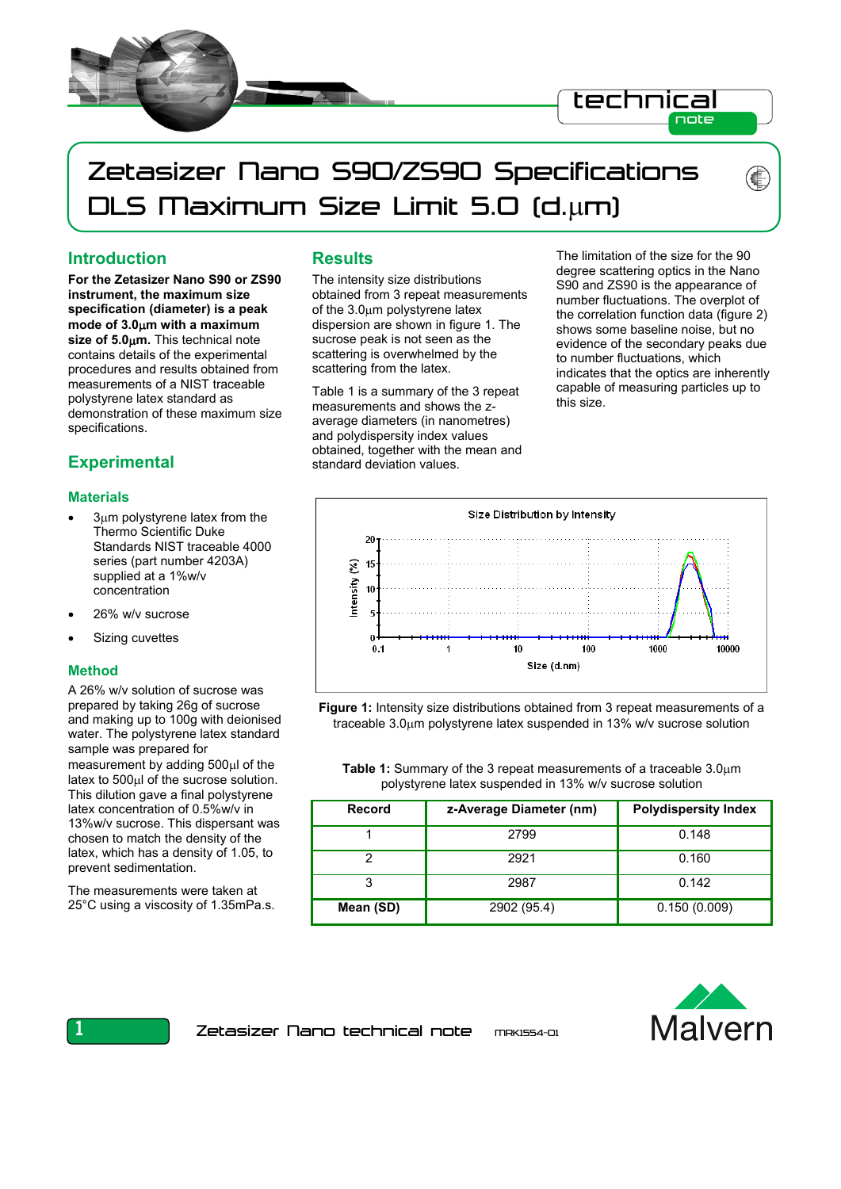

# Zetasizer Nano S90/ZS90 Specifications DLS Maximum Size Limit 5.0 (d.μm)

## **Introduction**

**For the Zetasizer Nano S90 or ZS90 instrument, the maximum size specification (diameter) is a peak mode of 3.0**μ**m with a maximum size of 5.0**μ**m.** This technical note contains details of the experimental procedures and results obtained from measurements of a NIST traceable polystyrene latex standard as demonstration of these maximum size specifications.

# **Experimental**

#### **Materials**

- $3\mu$ m polystyrene latex from the Thermo Scientific Duke Standards NIST traceable 4000 series (part number 4203A) supplied at a 1%w/v concentration
- 26% w/v sucrose
- Sizing cuvettes

### **Method**

A 26% w/v solution of sucrose was prepared by taking 26g of sucrose and making up to 100g with deionised water. The polystyrene latex standard sample was prepared for measurement by adding 500μl of the latex to 500μl of the sucrose solution. This dilution gave a final polystyrene latex concentration of 0.5%w/v in 13%w/v sucrose. This dispersant was chosen to match the density of the latex, which has a density of 1.05, to prevent sedimentation.

The measurements were taken at 25°C using a viscosity of 1.35mPa.s.

## **Results**

The intensity size distributions obtained from 3 repeat measurements of the 3.0μm polystyrene latex dispersion are shown in figure 1. The sucrose peak is not seen as the scattering is overwhelmed by the scattering from the latex.

Table 1 is a summary of the 3 repeat measurements and shows the zaverage diameters (in nanometres) and polydispersity index values obtained, together with the mean and standard deviation values.

The limitation of the size for the 90 degree scattering optics in the Nano S90 and ZS90 is the appearance of number fluctuations. The overplot of the correlation function data (figure 2) shows some baseline noise, but no evidence of the secondary peaks due to number fluctuations, which indicates that the optics are inherently capable of measuring particles up to this size.



**Figure 1:** Intensity size distributions obtained from 3 repeat measurements of a traceable 3.0μm polystyrene latex suspended in 13% w/v sucrose solution

**Table 1:** Summary of the 3 repeat measurements of a traceable 3.0μm polystyrene latex suspended in 13% w/v sucrose solution

| Record    | z-Average Diameter (nm) | <b>Polydispersity Index</b> |
|-----------|-------------------------|-----------------------------|
|           | 2799                    | 0.148                       |
| ◠         | 2921                    | 0.160                       |
|           | 2987                    | 0.142                       |
| Mean (SD) | 2902 (95.4)             | 0.150(0.009)                |